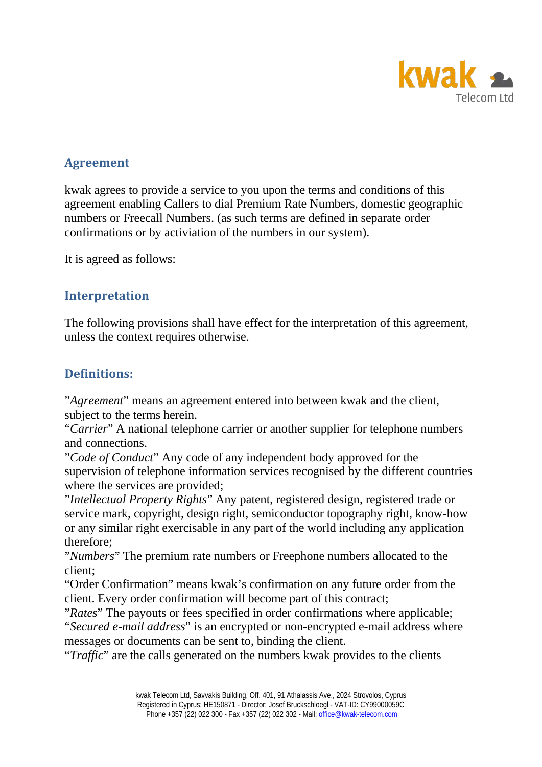

### **Agreement**

kwak agrees to provide a service to you upon the terms and conditions of this agreement enabling Callers to dial Premium Rate Numbers, domestic geographic numbers or Freecall Numbers. (as such terms are defined in separate order confirmations or by activiation of the numbers in our system).

It is agreed as follows:

### **Interpretation**

The following provisions shall have effect for the interpretation of this agreement, unless the context requires otherwise.

### **Definitions:**

"*Agreement*" means an agreement entered into between kwak and the client, subject to the terms herein.

"*Carrier*" A national telephone carrier or another supplier for telephone numbers and connections.

"*Code of Conduct*" Any code of any independent body approved for the supervision of telephone information services recognised by the different countries where the services are provided;

"*Intellectual Property Rights*" Any patent, registered design, registered trade or service mark, copyright, design right, semiconductor topography right, know-how or any similar right exercisable in any part of the world including any application therefore;

"*Numbers*" The premium rate numbers or Freephone numbers allocated to the client;

"Order Confirmation" means kwak's confirmation on any future order from the client. Every order confirmation will become part of this contract;

"*Rates*" The payouts or fees specified in order confirmations where applicable; "*Secured e-mail address*" is an encrypted or non-encrypted e-mail address where messages or documents can be sent to, binding the client.

"*Traffic*" are the calls generated on the numbers kwak provides to the clients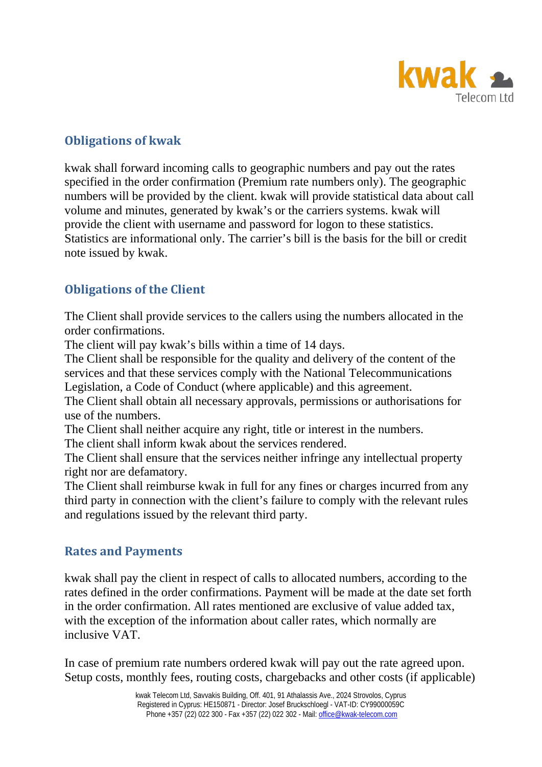

# **Obligations of kwak**

kwak shall forward incoming calls to geographic numbers and pay out the rates specified in the order confirmation (Premium rate numbers only). The geographic numbers will be provided by the client. kwak will provide statistical data about call volume and minutes, generated by kwak's or the carriers systems. kwak will provide the client with username and password for logon to these statistics. Statistics are informational only. The carrier's bill is the basis for the bill or credit note issued by kwak.

# **Obligations of the Client**

The Client shall provide services to the callers using the numbers allocated in the order confirmations.

The client will pay kwak's bills within a time of 14 days.

The Client shall be responsible for the quality and delivery of the content of the services and that these services comply with the National Telecommunications Legislation, a Code of Conduct (where applicable) and this agreement.

The Client shall obtain all necessary approvals, permissions or authorisations for use of the numbers.

The Client shall neither acquire any right, title or interest in the numbers.

The client shall inform kwak about the services rendered.

The Client shall ensure that the services neither infringe any intellectual property right nor are defamatory.

The Client shall reimburse kwak in full for any fines or charges incurred from any third party in connection with the client's failure to comply with the relevant rules and regulations issued by the relevant third party.

# **Rates and Payments**

kwak shall pay the client in respect of calls to allocated numbers, according to the rates defined in the order confirmations. Payment will be made at the date set forth in the order confirmation. All rates mentioned are exclusive of value added tax, with the exception of the information about caller rates, which normally are inclusive VAT.

In case of premium rate numbers ordered kwak will pay out the rate agreed upon. Setup costs, monthly fees, routing costs, chargebacks and other costs (if applicable)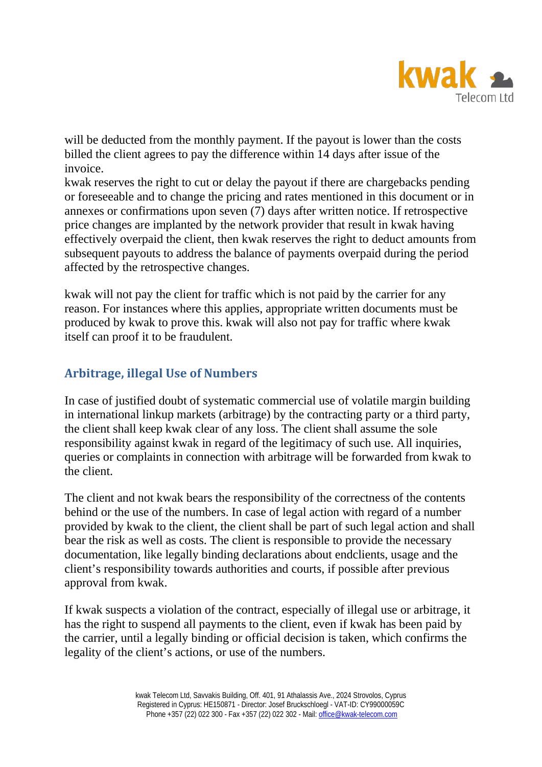

will be deducted from the monthly payment. If the payout is lower than the costs billed the client agrees to pay the difference within 14 days after issue of the invoice.

kwak reserves the right to cut or delay the payout if there are chargebacks pending or foreseeable and to change the pricing and rates mentioned in this document or in annexes or confirmations upon seven (7) days after written notice. If retrospective price changes are implanted by the network provider that result in kwak having effectively overpaid the client, then kwak reserves the right to deduct amounts from subsequent payouts to address the balance of payments overpaid during the period affected by the retrospective changes.

kwak will not pay the client for traffic which is not paid by the carrier for any reason. For instances where this applies, appropriate written documents must be produced by kwak to prove this. kwak will also not pay for traffic where kwak itself can proof it to be fraudulent.

# **Arbitrage, illegal Use of Numbers**

In case of justified doubt of systematic commercial use of volatile margin building in international linkup markets (arbitrage) by the contracting party or a third party, the client shall keep kwak clear of any loss. The client shall assume the sole responsibility against kwak in regard of the legitimacy of such use. All inquiries, queries or complaints in connection with arbitrage will be forwarded from kwak to the client.

The client and not kwak bears the responsibility of the correctness of the contents behind or the use of the numbers. In case of legal action with regard of a number provided by kwak to the client, the client shall be part of such legal action and shall bear the risk as well as costs. The client is responsible to provide the necessary documentation, like legally binding declarations about endclients, usage and the client's responsibility towards authorities and courts, if possible after previous approval from kwak.

If kwak suspects a violation of the contract, especially of illegal use or arbitrage, it has the right to suspend all payments to the client, even if kwak has been paid by the carrier, until a legally binding or official decision is taken, which confirms the legality of the client's actions, or use of the numbers.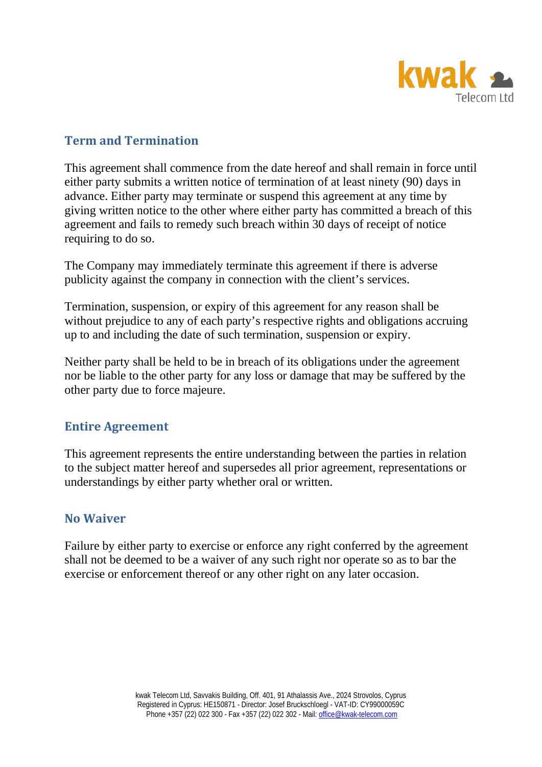

### **Term and Termination**

This agreement shall commence from the date hereof and shall remain in force until either party submits a written notice of termination of at least ninety (90) days in advance. Either party may terminate or suspend this agreement at any time by giving written notice to the other where either party has committed a breach of this agreement and fails to remedy such breach within 30 days of receipt of notice requiring to do so.

The Company may immediately terminate this agreement if there is adverse publicity against the company in connection with the client's services.

Termination, suspension, or expiry of this agreement for any reason shall be without prejudice to any of each party's respective rights and obligations accruing up to and including the date of such termination, suspension or expiry.

Neither party shall be held to be in breach of its obligations under the agreement nor be liable to the other party for any loss or damage that may be suffered by the other party due to force majeure.

### **Entire Agreement**

This agreement represents the entire understanding between the parties in relation to the subject matter hereof and supersedes all prior agreement, representations or understandings by either party whether oral or written.

### **No Waiver**

Failure by either party to exercise or enforce any right conferred by the agreement shall not be deemed to be a waiver of any such right nor operate so as to bar the exercise or enforcement thereof or any other right on any later occasion.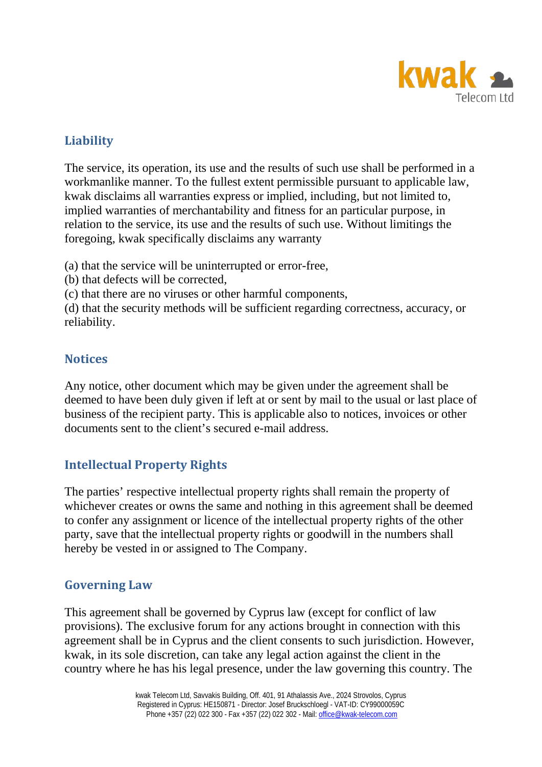

# **Liability**

The service, its operation, its use and the results of such use shall be performed in a workmanlike manner. To the fullest extent permissible pursuant to applicable law, kwak disclaims all warranties express or implied, including, but not limited to, implied warranties of merchantability and fitness for an particular purpose, in relation to the service, its use and the results of such use. Without limitings the foregoing, kwak specifically disclaims any warranty

(a) that the service will be uninterrupted or error-free,

(b) that defects will be corrected,

(c) that there are no viruses or other harmful components,

(d) that the security methods will be sufficient regarding correctness, accuracy, or reliability.

### **Notices**

Any notice, other document which may be given under the agreement shall be deemed to have been duly given if left at or sent by mail to the usual or last place of business of the recipient party. This is applicable also to notices, invoices or other documents sent to the client's secured e-mail address.

# **Intellectual Property Rights**

The parties' respective intellectual property rights shall remain the property of whichever creates or owns the same and nothing in this agreement shall be deemed to confer any assignment or licence of the intellectual property rights of the other party, save that the intellectual property rights or goodwill in the numbers shall hereby be vested in or assigned to The Company.

# **Governing Law**

This agreement shall be governed by Cyprus law (except for conflict of law provisions). The exclusive forum for any actions brought in connection with this agreement shall be in Cyprus and the client consents to such jurisdiction. However, kwak, in its sole discretion, can take any legal action against the client in the country where he has his legal presence, under the law governing this country. The